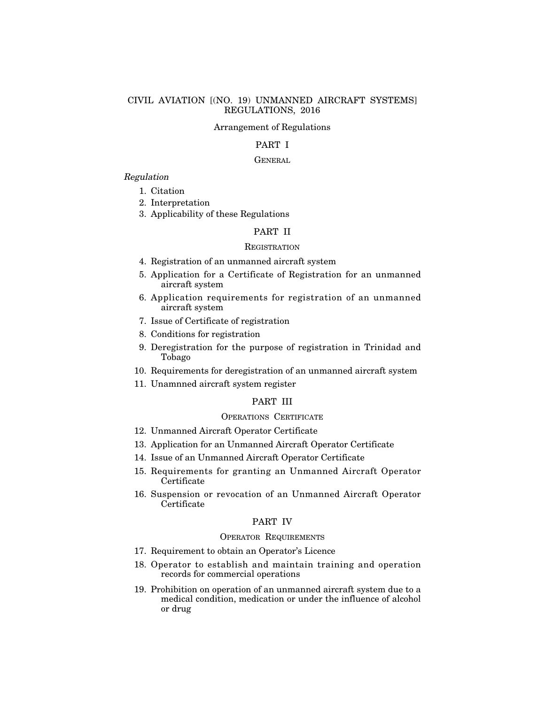## CIVIL AVIATION [(NO. 19) UNMANNED AIRCRAFT SYSTEMS] REGULATIONS, 2016

#### Arrangement of Regulations

## PART I

#### **GENERAL**

## Regulation

- 1. Citation
- 2. Interpretation
- 3. Applicability of these Regulations

# PART II

#### **REGISTRATION**

- 4. Registration of an unmanned aircraft system
- 5. Application for a Certificate of Registration for an unmanned aircraft system
- 6. Application requirements for registration of an unmanned aircraft system
- 7. Issue of Certificate of registration
- 8. Conditions for registration
- 9. Deregistration for the purpose of registration in Trinidad and Tobago
- 10. Requirements for deregistration of an unmanned aircraft system
- 11. Unamnned aircraft system register

## PART III

# OPERATIONS CERTIFICATE

- 12. Unmanned Aircraft Operator Certificate
- 13. Application for an Unmanned Aircraft Operator Certificate
- 14. Issue of an Unmanned Aircraft Operator Certificate
- 15. Requirements for granting an Unmanned Aircraft Operator Certificate
- 16. Suspension or revocation of an Unmanned Aircraft Operator **C**ertificate

#### PART IV

#### OPERATOR REQUIREMENTS

- 17. Requirement to obtain an Operator's Licence
- 18. Operator to establish and maintain training and operation records for commercial operations
- 19. Prohibition on operation of an unmanned aircraft system due to a medical condition, medication or under the influence of alcohol or drug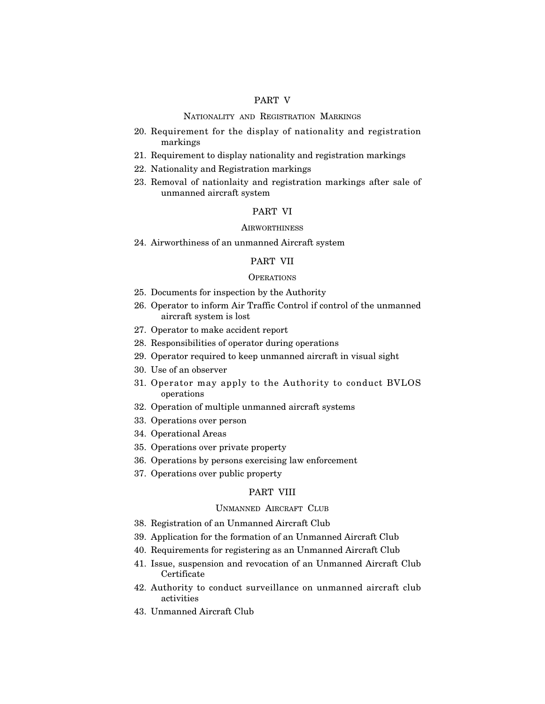# PART V

#### NATIONALITY AND REGISTRATION MARKINGS

- 20. Requirement for the display of nationality and registration markings
- 21. Requirement to display nationality and registration markings
- 22. Nationality and Registration markings
- 23. Removal of nationlaity and registration markings after sale of unmanned aircraft system

## PART VI

#### **AIRWORTHINESS**

24. Airworthiness of an unmanned Aircraft system

#### PART VII

#### **OPERATIONS**

- 25. Documents for inspection by the Authority
- 26. Operator to inform Air Traffic Control if control of the unmanned aircraft system is lost
- 27. Operator to make accident report
- 28. Responsibilities of operator during operations
- 29. Operator required to keep unmanned aircraft in visual sight
- 30. Use of an observer
- 31. Operator may apply to the Authority to conduct BVLOS operations
- 32. Operation of multiple unmanned aircraft systems
- 33. Operations over person
- 34. Operational Areas
- 35. Operations over private property
- 36. Operations by persons exercising law enforcement
- 37. Operations over public property

## PART VIII

## UNMANNED AIRCRAFT CLUB

- 38. Registration of an Unmanned Aircraft Club
- 39. Application for the formation of an Unmanned Aircraft Club
- 40. Requirements for registering as an Unmanned Aircraft Club
- 41. Issue, suspension and revocation of an Unmanned Aircraft Club Certificate
- 42. Authority to conduct surveillance on unmanned aircraft club activities
- 43. Unmanned Aircraft Club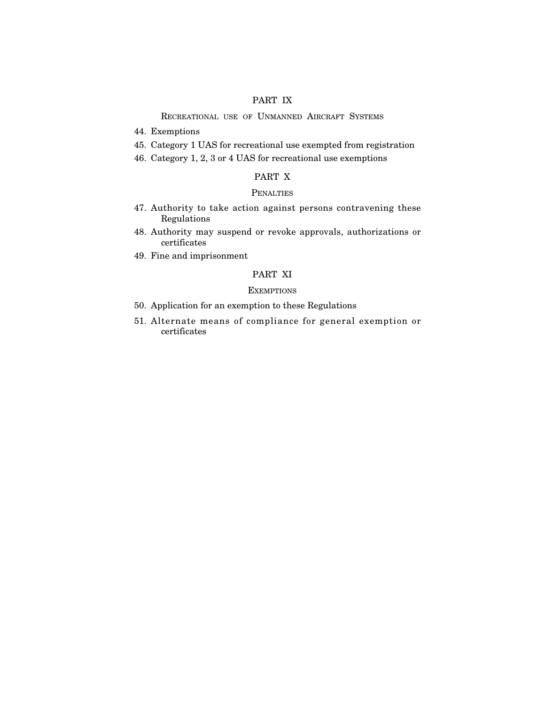# PART IX

RECREATIONAL USE OF UNMANNED AIRCRAFT SYSTEMS

- 44. Exemptions
- 45. Category 1 UAS for recreational use exempted from registration
- 46. Category 1, 2, 3 or 4 UAS for recreational use exemptions

# PART X

## **PENALTIES**

- 47. Authority to take action against persons contravening these Regulations
- 48. Authority may suspend or revoke approvals, authorizations or certificates
- 49. Fine and imprisonment

# PART XI

## **EXEMPTIONS**

- 50. Application for an exemption to these Regulations
- 51. Alternate means of compliance for general exemption or certificates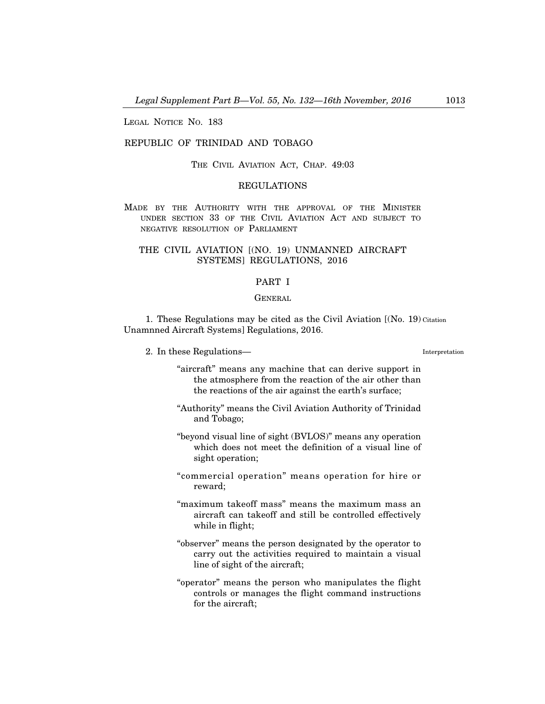LEGAL NOTICE NO. 183

## REPUBLIC OF TRINIDAD AND TOBAGO

THE CIVIL AVIATION ACT, CHAP. 49:03

## REGULATIONS

MADE BY THE AUTHORITY WITH THE APPROVAL OF THE MINISTER UNDER SECTION 33 OF THE CIVIL AVIATION ACT AND SUBJECT TO NEGATIVE RESOLUTION OF PARLIAMENT

## THE CIVIL AVIATION [(NO. 19) UNMANNED AIRCRAFT SYSTEMS] REGULATIONS, 2016

## PART I

## **GENERAL**

1. These Regulations may be cited as the Civil Aviation [(No. 19) Citation Unamnned Aircraft Systems] Regulations, 2016.

2. In these Regulations–

Interpretation

- "aircraft" means any machine that can derive support in the atmosphere from the reaction of the air other than the reactions of the air against the earth's surface;
- "Authority" means the Civil Aviation Authority of Trinidad and Tobago;
- "beyond visual line of sight (BVLOS)" means any operation which does not meet the definition of a visual line of sight operation;
- "commercial operation" means operation for hire or reward;
- "maximum takeoff mass" means the maximum mass an aircraft can takeoff and still be controlled effectively while in flight;
- "observer" means the person designated by the operator to carry out the activities required to maintain a visual line of sight of the aircraft;
- "operator" means the person who manipulates the flight controls or manages the flight command instructions for the aircraft;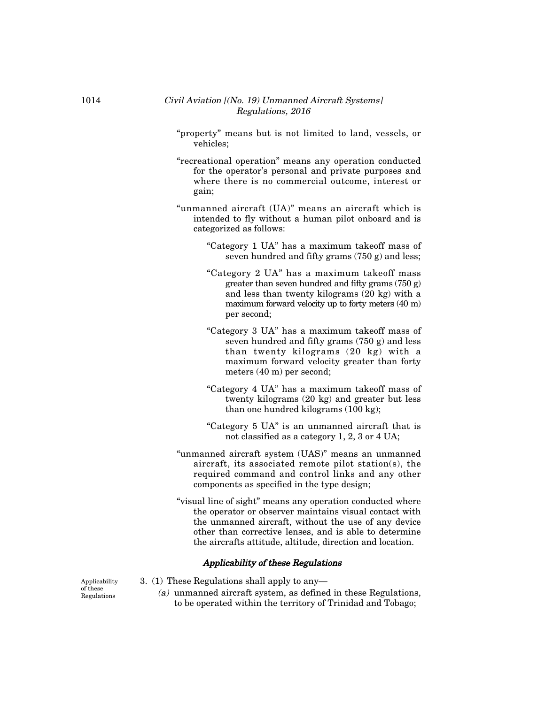- "property" means but is not limited to land, vessels, or vehicles;
- "recreational operation" means any operation conducted for the operator's personal and private purposes and where there is no commercial outcome, interest or gain;
- "unmanned aircraft (UA)" means an aircraft which is intended to fly without a human pilot onboard and is categorized as follows:
	- "Category 1 UA" has a maximum takeoff mass of seven hundred and fifty grams (750 g) and less;
	- "Category 2 UA" has a maximum takeoff mass greater than seven hundred and fifty grams (750 g) and less than twenty kilograms (20 kg) with a maximum forward velocity up to forty meters (40 m) per second;
	- "Category 3 UA" has a maximum takeoff mass of seven hundred and fifty grams (750 g) and less than twenty kilograms (20 kg) with a maximum forward velocity greater than forty meters (40 m) per second;
	- "Category 4 UA" has a maximum takeoff mass of twenty kilograms (20 kg) and greater but less than one hundred kilograms (100 kg);
	- "Category 5 UA" is an unmanned aircraft that is not classified as a category 1, 2, 3 or 4 UA;
- "unmanned aircraft system (UAS)" means an unmanned aircraft, its associated remote pilot station(s), the required command and control links and any other components as specified in the type design;
- "visual line of sight" means any operation conducted where the operator or observer maintains visual contact with the unmanned aircraft, without the use of any device other than corrective lenses, and is able to determine the aircrafts attitude, altitude, direction and location.

## Applicability of these Regulations

Applicability of these Regulations

- 3. (1) These Regulations shall apply to any–
	- (a) unmanned aircraft system, as defined in these Regulations, to be operated within the territory of Trinidad and Tobago;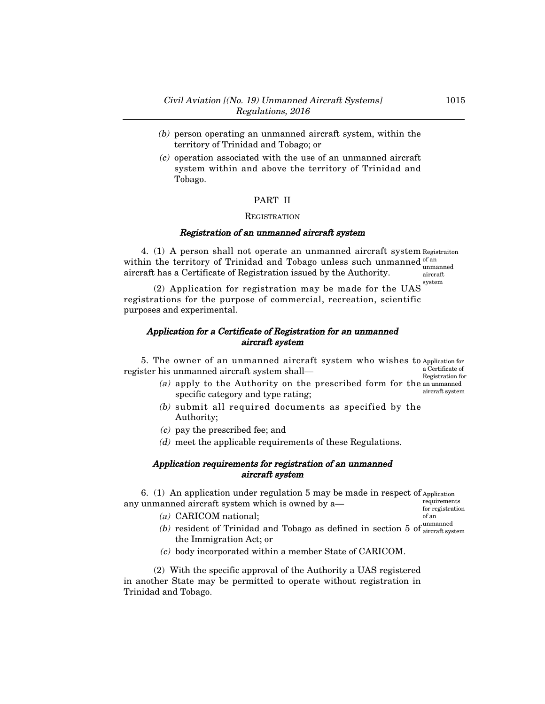- (b) person operating an unmanned aircraft system, within the territory of Trinidad and Tobago; or
- $(c)$  operation associated with the use of an unmanned aircraft system within and above the territory of Trinidad and Tobago.

# PART II

#### **REGISTRATION**

#### Registration of an unmanned aircraft system

4. (1) A person shall not operate an unmanned aircraft system Registraiton within the territory of Trinidad and Tobago unless such unmanned  $\frac{0^{f}$  and aircraft has a Certificate of Registration issued by the Authority. unmanned aircraft

system

(2) Application for registration may be made for the UAS registrations for the purpose of commercial, recreation, scientific purposes and experimental.

## Application for a Certificate of Registration for an unmanned aircraft system

5. The owner of an unmanned aircraft system who wishes to Application for register his unmanned aircraft system shall– a Certificate of Registration for

- (a) apply to the Authority on the prescribed form for the an unmanned specific category and type rating; aircraft system
- (b) submit all required documents as specified by the Authority;
- (c) pay the prescribed fee; and
- (d) meet the applicable requirements of these Regulations.

## Application requirements for registration of an unmanned aircraft system

6. (1) An application under regulation 5 may be made in respect of Application any unmanned aircraft system which is owned by a– requirements

(a) CARICOM national;

for registration of an

- (b) resident of Trinidad and Tobago as defined in section 5 of  $\frac{\text{unmanuel}}{\text{aircraft svs}}$ the Immigration Act; or aircraft system
- (c) body incorporated within a member State of CARICOM.

(2) With the specific approval of the Authority a UAS registered in another State may be permitted to operate without registration in Trinidad and Tobago.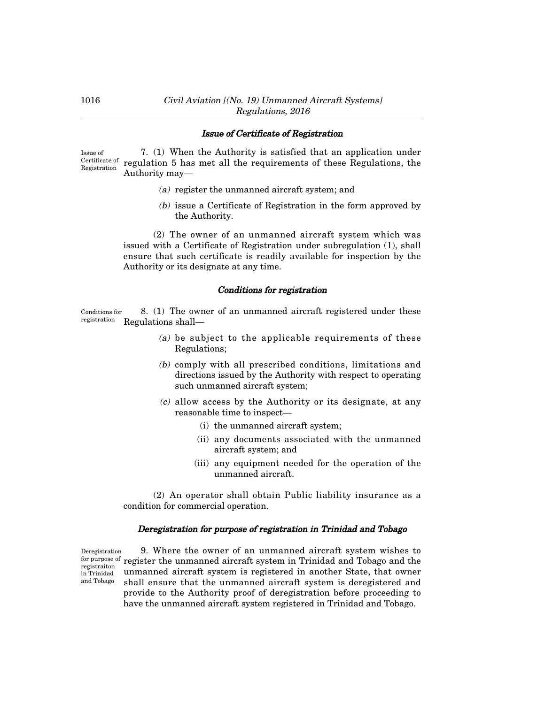## 1016 Civil Aviation [(No. 19) Unmanned Aircraft Systems] Regulations, 2016

#### Issue of Certificate of Registration

7. (1) When the Authority is satisfied that an application under Certificate of regulation 5 has met all the requirements of these Regulations, the Authority may– Issue of Registration

- (a) register the unmanned aircraft system; and
- (b) issue a Certificate of Registration in the form approved by the Authority.

(2) The owner of an unmanned aircraft system which was issued with a Certificate of Registration under subregulation (1), shall ensure that such certificate is readily available for inspection by the Authority or its designate at any time.

## Conditions for registration

8. (1) The owner of an unmanned aircraft registered under these registration Regulations shall-Conditions for

- (a) be subject to the applicable requirements of these Regulations;
- (b) comply with all prescribed conditions, limitations and directions issued by the Authority with respect to operating such unmanned aircraft system;
- (c) allow access by the Authority or its designate, at any reasonable time to inspect–
	- (i) the unmanned aircraft system;
	- (ii) any documents associated with the unmanned aircraft system; and
	- (iii) any equipment needed for the operation of the unmanned aircraft.

(2) An operator shall obtain Public liability insurance as a condition for commercial operation.

#### Deregistration for purpose of registration in Trinidad and Tobago

Deregistration registraiton in Trinidad and Tobago

9. Where the owner of an unmanned aircraft system wishes to for purpose of register the unmanned aircraft system in Trinidad and Tobago and the unmanned aircraft system is registered in another State, that owner shall ensure that the unmanned aircraft system is deregistered and provide to the Authority proof of deregistration before proceeding to have the unmanned aircraft system registered in Trinidad and Tobago.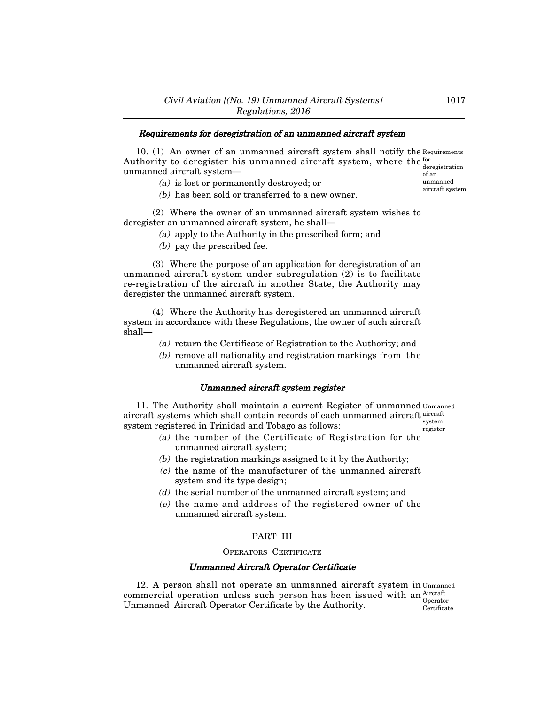#### Requirements for deregistration of an unmanned aircraft system

10. (1) An owner of an unmanned aircraft system shall notify the Requirements Authority to deregister his unmanned aircraft system, where the  $_{1}^{6}$ unmanned aircraft system– deregistration

(a) is lost or permanently destroyed; or

of an unmanned aircraft system

(b) has been sold or transferred to a new owner.

(2) Where the owner of an unmanned aircraft system wishes to deregister an unmanned aircraft system, he shall–

- (a) apply to the Authority in the prescribed form; and
- (b) pay the prescribed fee.

(3) Where the purpose of an application for deregistration of an unmanned aircraft system under subregulation (2) is to facilitate re-registration of the aircraft in another State, the Authority may deregister the unmanned aircraft system.

(4) Where the Authority has deregistered an unmanned aircraft system in accordance with these Regulations, the owner of such aircraft shall–

- (a) return the Certificate of Registration to the Authority; and
- (b) remove all nationality and registration markings from the unmanned aircraft system.

#### Unmanned aircraft system register

11. The Authority shall maintain a current Register of unmanned Unmanned aircraft systems which shall contain records of each unmanned aircraft aircraft system registered in Trinidad and Tobago as follows: system register

- (a) the number of the Certificate of Registration for the unmanned aircraft system;
- (b) the registration markings assigned to it by the Authority;
- (c) the name of the manufacturer of the unmanned aircraft system and its type design;
- (d) the serial number of the unmanned aircraft system; and
- (e) the name and address of the registered owner of the unmanned aircraft system.

## PART III

#### OPERATORS CERTIFICATE

### Unmanned Aircraft Operator Certificate

12. A person shall not operate an unmanned aircraft system in Unmanned commercial operation unless such person has been issued with an  $\frac{\text{Aircraft}}{\text{Air.}}$ Unmanned Aircraft Operator Certificate by the Authority. Operator Certificate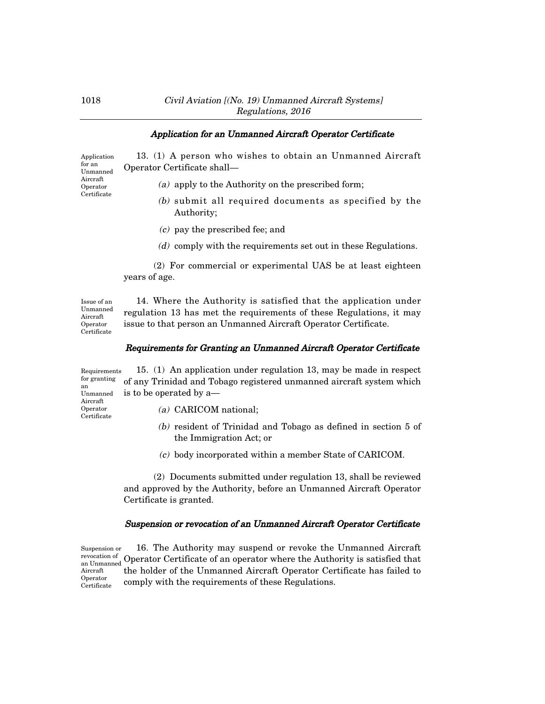## 1018 Civil Aviation [(No. 19) Unmanned Aircraft Systems] Regulations, 2016

## Application for an Unmanned Aircraft Operator Certificate

13. (1) A person who wishes to obtain an Unmanned Aircraft Operator Certificate shall– Application Unmanned

(a) apply to the Authority on the prescribed form;

- (b) submit all required documents as specified by the Authority;
- (c) pay the prescribed fee; and
- (d) comply with the requirements set out in these Regulations.

(2) For commercial or experimental UAS be at least eighteen years of age.

Issue of an Unmanned Aircraft Operator Certificate

14. Where the Authority is satisfied that the application under regulation 13 has met the requirements of these Regulations, it may issue to that person an Unmanned Aircraft Operator Certificate.

## Requirements for Granting an Unmanned Aircraft Operator Certificate

|                                     | $R$ Requirements 15. (1) An application under regulation 13, may be made in respect |
|-------------------------------------|-------------------------------------------------------------------------------------|
| an                                  | for granting of any Trinidad and Tobago registered unmanned aircraft system which   |
|                                     | Unmanned is to be operated by a—                                                    |
| Aircraft<br>Operator<br>Certificate | (a) CARICOM national:                                                               |
|                                     |                                                                                     |

- (b) resident of Trinidad and Tobago as defined in section 5 of the Immigration Act; or
- (c) body incorporated within a member State of CARICOM.

(2) Documents submitted under regulation 13, shall be reviewed and approved by the Authority, before an Unmanned Aircraft Operator Certificate is granted.

## Suspension or revocation of an Unmanned Aircraft Operator Certificate

16. The Authority may suspend or revoke the Unmanned Aircraft revocation of Operator Certificate of an operator where the Authority is satisfied that the holder of the Unmanned Aircraft Operator Certificate has failed to comply with the requirements of these Regulations. Suspension or an Unmanned Aircraft Operator Certificate

for an

Aircraft Operator Certificate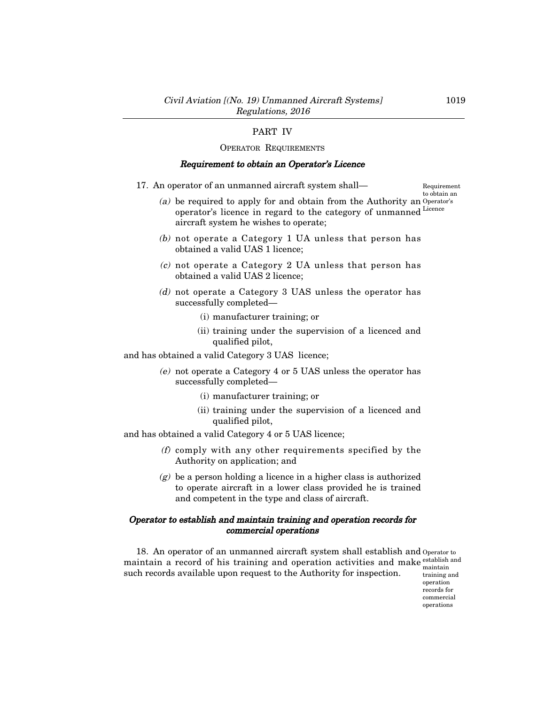# PART IV

#### OPERATOR REQUIREMENTS

#### Requirement to obtain an Operator's Licence

17. An operator of an unmanned aircraft system shall–

Requirement to obtain an

- (a) be required to apply for and obtain from the Authority an Operator's operator's licence in regard to the category of unmanned aircraft system he wishes to operate; Licence
- (b) not operate a Category 1 UA unless that person has obtained a valid UAS 1 licence;
- (c) not operate a Category 2 UA unless that person has obtained a valid UAS 2 licence;
- (d) not operate a Category 3 UAS unless the operator has successfully completed–
	- (i) manufacturer training; or
	- (ii) training under the supervision of a licenced and qualified pilot,

and has obtained a valid Category 3 UAS licence;

- (e) not operate a Category 4 or 5 UAS unless the operator has successfully completed–
	- (i) manufacturer training; or
	- (ii) training under the supervision of a licenced and qualified pilot,

and has obtained a valid Category 4 or 5 UAS licence;

- (f) comply with any other requirements specified by the Authority on application; and
- $(g)$  be a person holding a licence in a higher class is authorized to operate aircraft in a lower class provided he is trained and competent in the type and class of aircraft.

## Operator to establish and maintain training and operation records for commercial operations

18. An operator of an unmanned aircraft system shall establish and Operator to maintain a record of his training and operation activities and make establish and such records available upon request to the Authority for inspection. maintain

training and operation records for commercial operations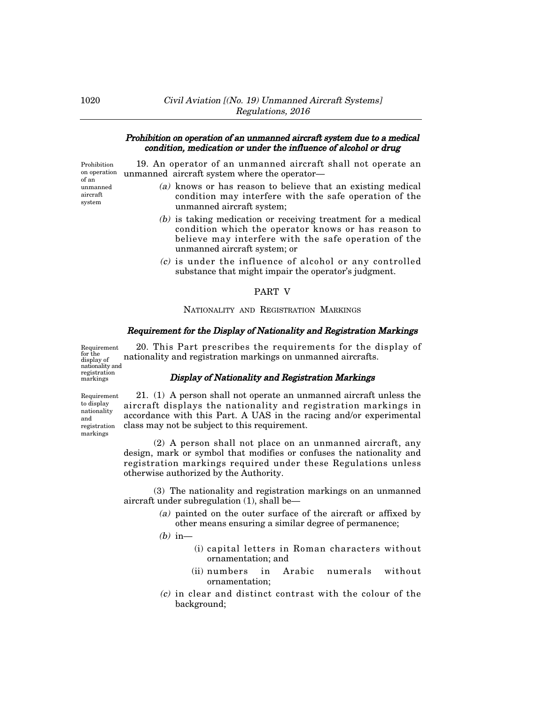## Prohibition on operation of an unmanned aircraft system due to a medical condition, medication or under the influence of alcohol or drug

Prohibition on operation of an unmanned aircraft system

19. An operator of an unmanned aircraft shall not operate an unmanned aircraft system where the operator–

- (a) knows or has reason to believe that an existing medical condition may interfere with the safe operation of the unmanned aircraft system;
- (b) is taking medication or receiving treatment for a medical condition which the operator knows or has reason to believe may interfere with the safe operation of the unmanned aircraft system; or
- (c) is under the influence of alcohol or any controlled substance that might impair the operator's judgment.

#### PART V

#### NATIONALITY AND REGISTRATION MARKINGS

#### Requirement for the Display of Nationality and Registration Markings

Requirement for the display of nationality and registration markings

20. This Part prescribes the requirements for the display of nationality and registration markings on unmanned aircrafts.

#### Display of Nationality and Registration Markings

Requirement to display nationality and registration markings

21. (1) A person shall not operate an unmanned aircraft unless the aircraft displays the nationality and registration markings in accordance with this Part. A UAS in the racing and/or experimental class may not be subject to this requirement.

(2) A person shall not place on an unmanned aircraft, any design, mark or symbol that modifies or confuses the nationality and registration markings required under these Regulations unless otherwise authorized by the Authority.

(3) The nationality and registration markings on an unmanned aircraft under subregulation (1), shall be–

- (a) painted on the outer surface of the aircraft or affixed by other means ensuring a similar degree of permanence;
- $(b)$  in-
	- (i) capital letters in Roman characters without ornamentation; and
	- (ii) numbers in Arabic numerals without ornamentation;
- (c) in clear and distinct contrast with the colour of the background;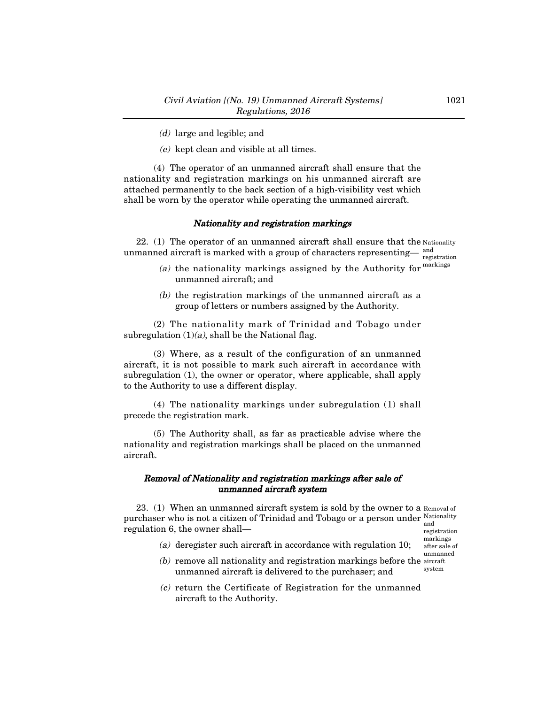- (d) large and legible; and
- (e) kept clean and visible at all times.

(4) The operator of an unmanned aircraft shall ensure that the nationality and registration markings on his unmanned aircraft are attached permanently to the back section of a high-visibility vest which shall be worn by the operator while operating the unmanned aircraft.

#### Nationality and registration markings

22. (1) The operator of an unmanned aircraft shall ensure that the Nationality unmanned aircraft is marked with a group of characters representing— $\frac{and}{end}$ registration

- (a) the nationality markings assigned by the Authority for  $\frac{\text{markings}}{\text{max}}}$ unmanned aircraft; and
- (b) the registration markings of the unmanned aircraft as a group of letters or numbers assigned by the Authority.

(2) The nationality mark of Trinidad and Tobago under subregulation  $(1)(a)$ , shall be the National flag.

(3) Where, as a result of the configuration of an unmanned aircraft, it is not possible to mark such aircraft in accordance with subregulation (1), the owner or operator, where applicable, shall apply to the Authority to use a different display.

(4) The nationality markings under subregulation (1) shall precede the registration mark.

(5) The Authority shall, as far as practicable advise where the nationality and registration markings shall be placed on the unmanned aircraft.

## Removal of Nationality and registration markings after sale of unmanned aircraft system

23. (1) When an unmanned aircraft system is sold by the owner to a  $_{\rm{Removal of}}$ purchaser who is not a citizen of Trinidad and Tobago or a person under Nationality regulation 6, the owner shall– and

registration markings after sale of unmanned system

- (a) deregister such aircraft in accordance with regulation 10;
- $(b)$  remove all nationality and registration markings before the aircraft unmanned aircraft is delivered to the purchaser; and
- (c) return the Certificate of Registration for the unmanned aircraft to the Authority.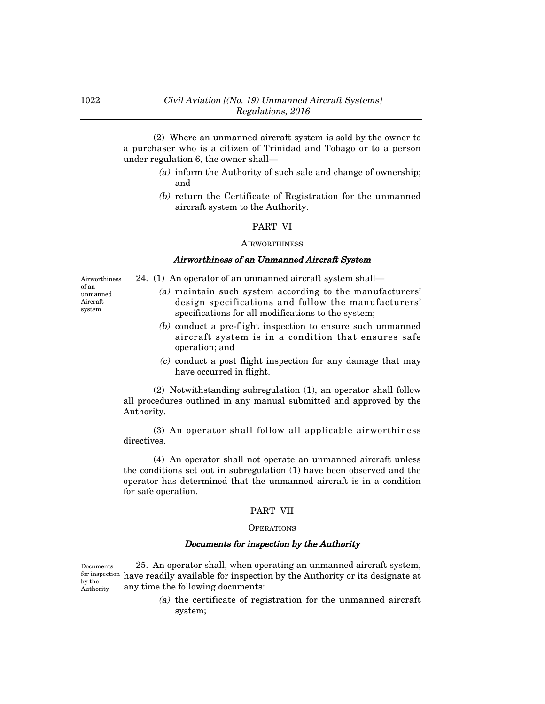(2) Where an unmanned aircraft system is sold by the owner to a purchaser who is a citizen of Trinidad and Tobago or to a person under regulation 6, the owner shall–

- (a) inform the Authority of such sale and change of ownership; and
- (b) return the Certificate of Registration for the unmanned aircraft system to the Authority.

#### PART VI

#### **AIRWORTHINESS**

#### Airworthiness of an Unmanned Aircraft System

Airworthiness of an unmanned Aircraft system

- 24. (1) An operator of an unmanned aircraft system shall–
	- (a) maintain such system according to the manufacturers' design specifications and follow the manufacturers' specifications for all modifications to the system;
	- (b) conduct a pre-flight inspection to ensure such unmanned aircraft system is in a condition that ensures safe operation; and
	- (c) conduct a post flight inspection for any damage that may have occurred in flight.

(2) Notwithstanding subregulation (1), an operator shall follow all procedures outlined in any manual submitted and approved by the Authority.

(3) An operator shall follow all applicable airworthiness directives.

(4) An operator shall not operate an unmanned aircraft unless the conditions set out in subregulation (1) have been observed and the operator has determined that the unmanned aircraft is in a condition for safe operation.

#### PART VII

#### **OPERATIONS**

#### Documents for inspection by the Authority

25. An operator shall, when operating an unmanned aircraft system, for inspection have readily available for inspection by the Authority or its designate at any time the following documents: Documents by the Authority

> (a) the certificate of registration for the unmanned aircraft system;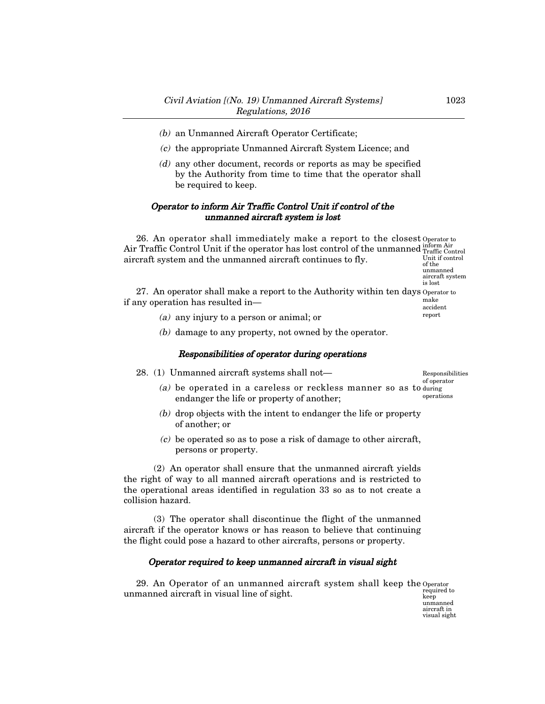- (b) an Unmanned Aircraft Operator Certificate;
- (c) the appropriate Unmanned Aircraft System Licence; and
- (d) any other document, records or reports as may be specified by the Authority from time to time that the operator shall be required to keep.

## Operator to inform Air Traffic Control Unit if control of the unmanned aircraft system is lost

26. An operator shall immediately make a report to the closest Operator to Air Traffic Control Unit if the operator has lost control of the unmanned inform Air aircraft system and the unmanned aircraft continues to fly. Unit if control of the

unmanned aircraft system is lost

report

27. An operator shall make a report to the Authority within ten days Operator to if any operation has resulted in– make accident

- (a) any injury to a person or animal; or
- (b) damage to any property, not owned by the operator.

## Responsibilities of operator during operations

28. (1) Unmanned aircraft systems shall not—

Responsibilities of operator

- (a) be operated in a careless or reckless manner so as to during endanger the life or property of another; operations
- (b) drop objects with the intent to endanger the life or property of another; or
- (c) be operated so as to pose a risk of damage to other aircraft, persons or property.

(2) An operator shall ensure that the unmanned aircraft yields the right of way to all manned aircraft operations and is restricted to the operational areas identified in regulation 33 so as to not create a collision hazard.

(3) The operator shall discontinue the flight of the unmanned aircraft if the operator knows or has reason to believe that continuing the flight could pose a hazard to other aircrafts, persons or property.

## Operator required to keep unmanned aircraft in visual sight

29. An Operator of an unmanned aircraft system shall keep the Operator unmanned aircraft in visual line of sight.

required to keep unmanned aircraft in visual sight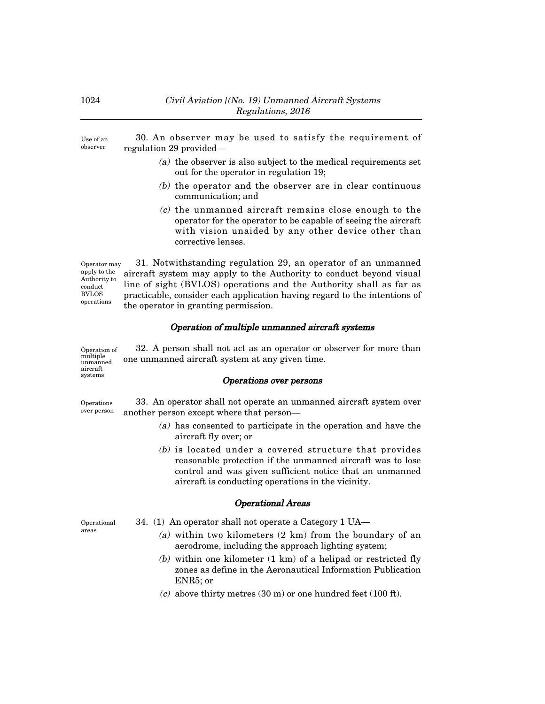30. An observer may be used to satisfy the requirement of regulation 29 provided– Use of an observer

- (a) the observer is also subject to the medical requirements set out for the operator in regulation 19;
- (b) the operator and the observer are in clear continuous communication; and
- (c) the unmanned aircraft remains close enough to the operator for the operator to be capable of seeing the aircraft with vision unaided by any other device other than corrective lenses.

31. Notwithstanding regulation 29, an operator of an unmanned aircraft system may apply to the Authority to conduct beyond visual line of sight (BVLOS) operations and the Authority shall as far as practicable, consider each application having regard to the intentions of the operator in granting permission. Operator may apply to the Authority to conduct BVLOS operations

## Operation of multiple unmanned aircraft systems

32. A person shall not act as an operator or observer for more than one unmanned aircraft system at any given time. Operation of multiple unmanned aircraft systems

## Operations over persons

33. An operator shall not operate an unmanned aircraft system over another person except where that person– Operations over person

- (a) has consented to participate in the operation and have the aircraft fly over; or
- (b) is located under a covered structure that provides reasonable protection if the unmanned aircraft was to lose control and was given sufficient notice that an unmanned aircraft is conducting operations in the vicinity.

## Operational Areas

34. (1) An operator shall not operate a Category 1 UA–

Operational areas

- (a) within two kilometers (2 km) from the boundary of an aerodrome, including the approach lighting system;
	- (b) within one kilometer (1 km) of a helipad or restricted fly zones as define in the Aeronautical Information Publication ENR5; or
	- $(c)$  above thirty metres (30 m) or one hundred feet (100 ft).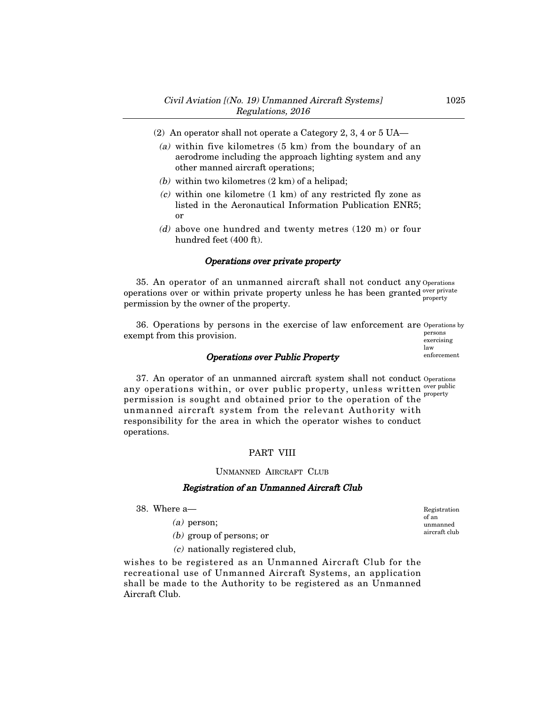- (2) An operator shall not operate a Category 2, 3, 4 or 5 UA–
	- (a) within five kilometres (5 km) from the boundary of an aerodrome including the approach lighting system and any other manned aircraft operations;
	- (b) within two kilometres  $(2 \text{ km})$  of a helipad;
	- $(c)$  within one kilometre  $(1 \text{ km})$  of any restricted fly zone as listed in the Aeronautical Information Publication ENR5; or
	- (d) above one hundred and twenty metres (120 m) or four hundred feet (400 ft).

# Operations over private property

35. An operator of an unmanned aircraft shall not conduct any Operations operations over or within private property unless he has been granted over private permission by the owner of the property. property

36. Operations by persons in the exercise of law enforcement are Operations by exempt from this provision. persons exercising

#### Operations over Public Property

37. An operator of an unmanned aircraft system shall not conduct Operations any operations within, or over public property, unless written *ever public* permission is sought and obtained prior to the operation of the unmanned aircraft system from the relevant Authority with responsibility for the area in which the operator wishes to conduct operations. property

#### PART VIII

UNMANNED AIRCRAFT CLUB

#### Registration of an Unmanned Aircraft Club

38. Where a–

- (a) person;
- (b) group of persons; or
- (c) nationally registered club,

wishes to be registered as an Unmanned Aircraft Club for the recreational use of Unmanned Aircraft Systems, an application shall be made to the Authority to be registered as an Unmanned Aircraft Club.

Registration of an unmanned aircraft club

law enforcement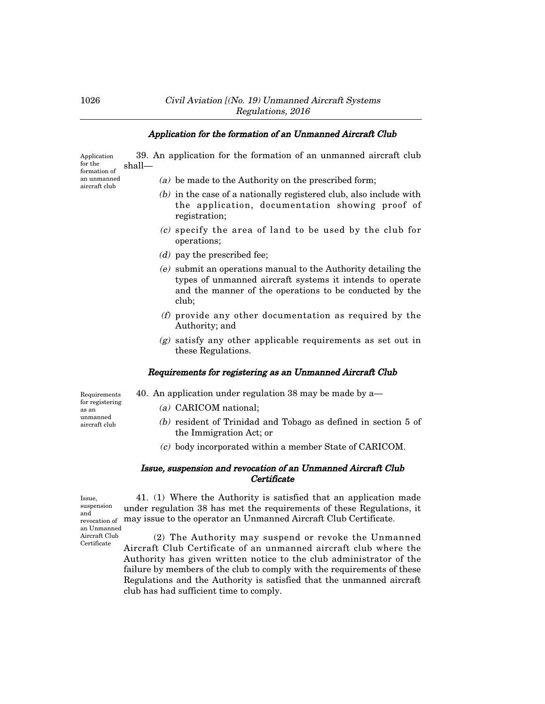# Application for the formation of an Unmanned Aircraft Club 39. An application for the formation of an unmanned aircraft club

shall– Application for the

formation of an unmanned aircraft club

(a) be made to the Authority on the prescribed form;

- (b) in the case of a nationally registered club, also include with the application, documentation showing proof of registration;
- (c) specify the area of land to be used by the club for operations;
- (d) pay the prescribed fee;
- (e) submit an operations manual to the Authority detailing the types of unmanned aircraft systems it intends to operate and the manner of the operations to be conducted by the club;
- (f) provide any other documentation as required by the Authority; and
- (g) satisfy any other applicable requirements as set out in these Regulations.

# Requirements for registering as an Unmanned Aircraft Club

Requirements for registering as an unmanned aircraft club

- 40. An application under regulation 38 may be made by a–
	- (a) CARICOM national;
	- (b) resident of Trinidad and Tobago as defined in section 5 of the Immigration Act; or
	- (c) body incorporated within a member State of CARICOM.

## Issue, suspension and revocation of an Unmanned Aircraft Club **Certificate**

Issue, suspension and revocation of

an Unmanned Aircraft Club Certificate

41. (1) Where the Authority is satisfied that an application made under regulation 38 has met the requirements of these Regulations, it may issue to the operator an Unmanned Aircraft Club Certificate.

(2) The Authority may suspend or revoke the Unmanned Aircraft Club Certificate of an unmanned aircraft club where the Authority has given written notice to the club administrator of the failure by members of the club to comply with the requirements of these Regulations and the Authority is satisfied that the unmanned aircraft club has had sufficient time to comply.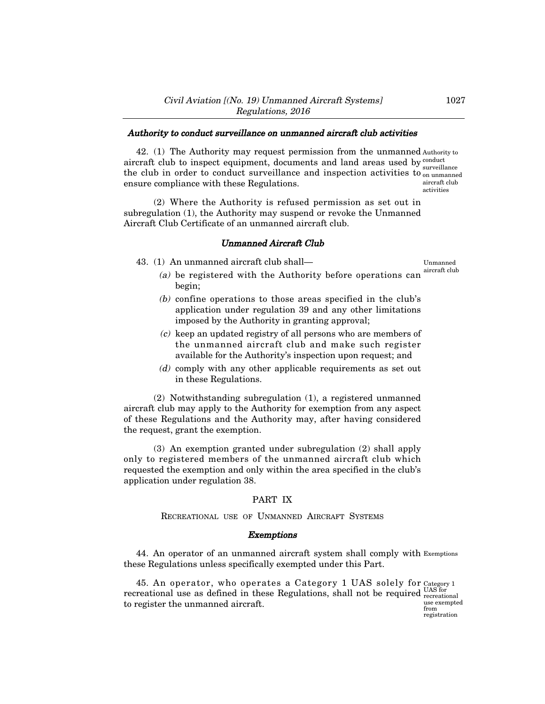## Authority to conduct surveillance on unmanned aircraft club activities

42. (1) The Authority may request permission from the unmanned Authority to aircraft club to inspect equipment, documents and land areas used by  $\frac{\text{conduct}}{\text{concent}}$ the club in order to conduct surveillance and inspection activities to  $\frac{1}{200}$  unmanned ensure compliance with these Regulations. surveillance aircraft club activities

(2) Where the Authority is refused permission as set out in subregulation (1), the Authority may suspend or revoke the Unmanned Aircraft Club Certificate of an unmanned aircraft club.

#### Unmanned Aircraft Club

43. (1) An unmanned aircraft club shall–

Unmanned aircraft club

- (a) be registered with the Authority before operations can begin;
- (b) confine operations to those areas specified in the club's application under regulation 39 and any other limitations imposed by the Authority in granting approval;
- (c) keep an updated registry of all persons who are members of the unmanned aircraft club and make such register available for the Authority's inspection upon request; and
- (d) comply with any other applicable requirements as set out in these Regulations.

(2) Notwithstanding subregulation (1), a registered unmanned aircraft club may apply to the Authority for exemption from any aspect of these Regulations and the Authority may, after having considered the request, grant the exemption.

(3) An exemption granted under subregulation (2) shall apply only to registered members of the unmanned aircraft club which requested the exemption and only within the area specified in the club's application under regulation 38.

#### PART IX

RECREATIONAL USE OF UNMANNED AIRCRAFT SYSTEMS

#### Exemptions

44. An operator of an unmanned aircraft system shall comply with Exemptions these Regulations unless specifically exempted under this Part.

45. An operator, who operates a Category 1 UAS solely for recreational use as defined in these Regulations, shall not be required to register the unmanned aircraft. Category 1 UAS for recreational use exempted from registration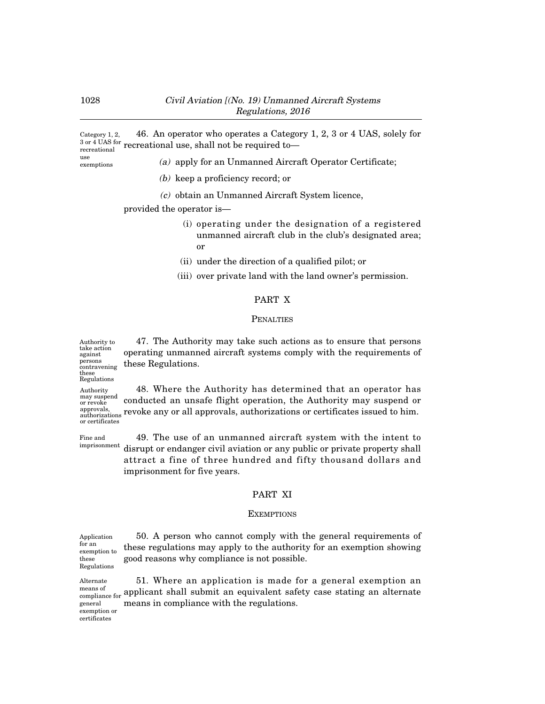46. An operator who operates a Category 1, 2, 3 or 4 UAS, solely for  $\frac{3 \text{ or } 4 \text{ UAS}}{3 \text{ or } 2 \text{ UAS}}$  recreational use, shall not be required to Category 1, 2, recreational

use exemptions

- (a) apply for an Unmanned Aircraft Operator Certificate;
- (b) keep a proficiency record; or
- (c) obtain an Unmanned Aircraft System licence,

provided the operator is–

- (i) operating under the designation of a registered unmanned aircraft club in the club's designated area; or
- (ii) under the direction of a qualified pilot; or
- (iii) over private land with the land owner's permission.

# PART X

#### **PENALTIES**

47. The Authority may take such actions as to ensure that persons operating unmanned aircraft systems comply with the requirements of these Regulations. Authority to take action against persons contravening these

conducted an unsafe flight operation, the Authority may suspend or Regulations Authority may suspend or revoke approvals,

revoke any or all approvals, authorizations or certificates issued to him. authorizations or certificates

Fine and imprisonment

49. The use of an unmanned aircraft system with the intent to disrupt or endanger civil aviation or any public or private property shall attract a fine of three hundred and fifty thousand dollars and imprisonment for five years.

48. Where the Authority has determined that an operator has

#### PART XI

## **EXEMPTIONS**

50. A person who cannot comply with the general requirements of these regulations may apply to the authority for an exemption showing good reasons why compliance is not possible. Application exemption to Regulations

51. Where an application is made for a general exemption an applicant shall submit an equivalent safety case stating an alternate means in compliance with the regulations.

Alternate means of compliance for general exemption or

certificates

for an

these